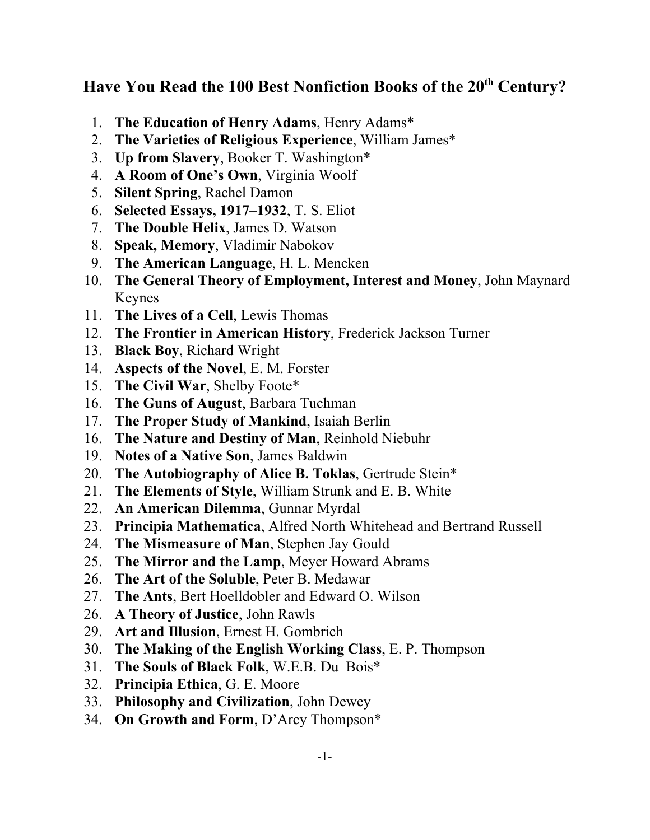## Have You Read the 100 Best Nonfiction Books of the 20<sup>th</sup> Century?

- 1. **The Education of Henry Adams**, Henry Adams\*
- 2. **The Varieties of Religious Experience**, William James\*
- 3. **Up from Slavery**, Booker T. Washington\*
- 4. **A Room of One's Own**, Virginia Woolf
- 5. **Silent Spring**, Rachel Damon
- 6. **Selected Essays, 1917–1932**, T. S. Eliot
- 7. **The Double Helix**, James D. Watson
- 8. **Speak, Memory**, Vladimir Nabokov
- 9. **The American Language**, H. L. Mencken
- 10. **The General Theory of Employment, Interest and Money**, John Maynard Keynes
- 11. **The Lives of a Cell**, Lewis Thomas
- 12. **The Frontier in American History**, Frederick Jackson Turner
- 13. **Black Boy**, Richard Wright
- 14. **Aspects of the Novel**, E. M. Forster
- 15. **The Civil War**, Shelby Foote\*
- 16. **The Guns of August**, Barbara Tuchman
- 17. **The Proper Study of Mankind**, Isaiah Berlin
- 16. **The Nature and Destiny of Man**, Reinhold Niebuhr
- 19. **Notes of a Native Son**, James Baldwin
- 20. **The Autobiography of Alice B. Toklas**, Gertrude Stein\*
- 21. **The Elements of Style**, William Strunk and E. B. White
- 22. **An American Dilemma**, Gunnar Myrdal
- 23. **Principia Mathematica**, Alfred North Whitehead and Bertrand Russell
- 24. **The Mismeasure of Man**, Stephen Jay Gould
- 25. **The Mirror and the Lamp**, Meyer Howard Abrams
- 26. **The Art of the Soluble**, Peter B. Medawar
- 27. **The Ants**, Bert Hoelldobler and Edward O. Wilson
- 26. **A Theory of Justice**, John Rawls
- 29. **Art and Illusion**, Ernest H. Gombrich
- 30. **The Making of the English Working Class**, E. P. Thompson
- 31. **The Souls of Black Folk**, W.E.B. Du Bois\*
- 32. **Principia Ethica**, G. E. Moore
- 33. **Philosophy and Civilization**, John Dewey
- 34. **On Growth and Form**, D'Arcy Thompson\*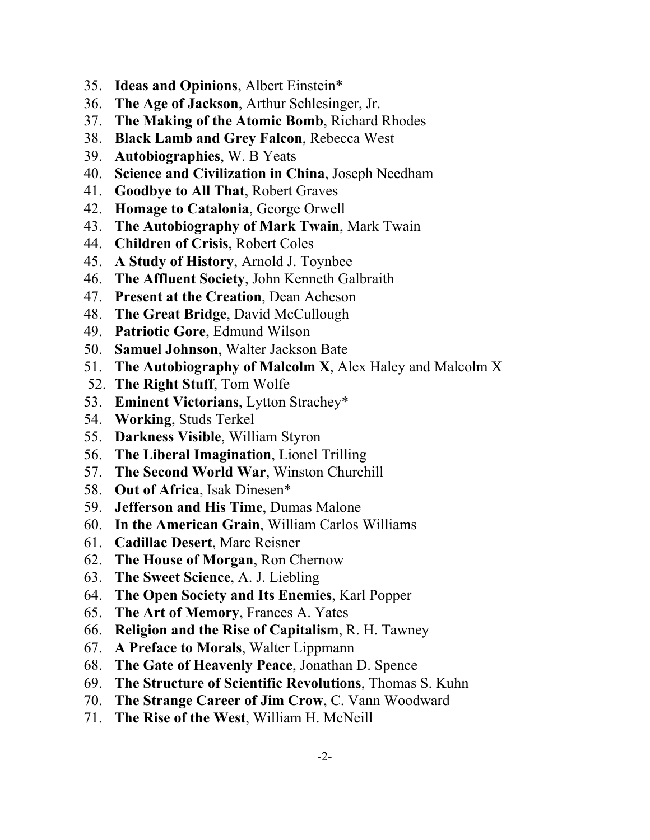- 35. **Ideas and Opinions**, Albert Einstein\*
- 36. **The Age of Jackson**, Arthur Schlesinger, Jr.
- 37. **The Making of the Atomic Bomb**, Richard Rhodes
- 38. **Black Lamb and Grey Falcon**, Rebecca West
- 39. **Autobiographies**, W. B Yeats
- 40. **Science and Civilization in China**, Joseph Needham
- 41. **Goodbye to All That**, Robert Graves
- 42. **Homage to Catalonia**, George Orwell
- 43. **The Autobiography of Mark Twain**, Mark Twain
- 44. **Children of Crisis**, Robert Coles
- 45. **A Study of History**, Arnold J. Toynbee
- 46. **The Affluent Society**, John Kenneth Galbraith
- 47. **Present at the Creation**, Dean Acheson
- 48. **The Great Bridge**, David McCullough
- 49. **Patriotic Gore**, Edmund Wilson
- 50. **Samuel Johnson**, Walter Jackson Bate
- 51. **The Autobiography of Malcolm X**, Alex Haley and Malcolm X
- 52. **The Right Stuff**, Tom Wolfe
- 53. **Eminent Victorians**, Lytton Strachey\*
- 54. **Working**, Studs Terkel
- 55. **Darkness Visible**, William Styron
- 56. **The Liberal Imagination**, Lionel Trilling
- 57. **The Second World War**, Winston Churchill
- 58. **Out of Africa**, Isak Dinesen\*
- 59. **Jefferson and His Time**, Dumas Malone
- 60. **In the American Grain**, William Carlos Williams
- 61. **Cadillac Desert**, Marc Reisner
- 62. **The House of Morgan**, Ron Chernow
- 63. **The Sweet Science**, A. J. Liebling
- 64. **The Open Society and Its Enemies**, Karl Popper
- 65. **The Art of Memory**, Frances A. Yates
- 66. **Religion and the Rise of Capitalism**, R. H. Tawney
- 67. **A Preface to Morals**, Walter Lippmann
- 68. **The Gate of Heavenly Peace**, Jonathan D. Spence
- 69. **The Structure of Scientific Revolutions**, Thomas S. Kuhn
- 70. **The Strange Career of Jim Crow**, C. Vann Woodward
- 71. **The Rise of the West**, William H. McNeill